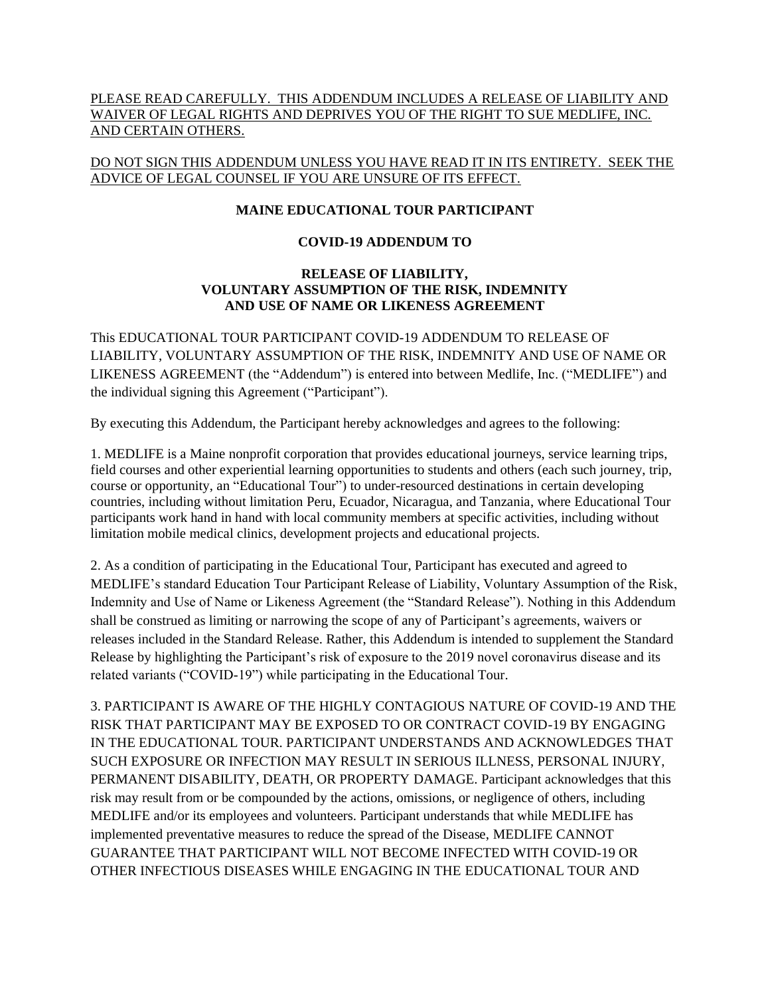### PLEASE READ CAREFULLY. THIS ADDENDUM INCLUDES A RELEASE OF LIABILITY AND WAIVER OF LEGAL RIGHTS AND DEPRIVES YOU OF THE RIGHT TO SUE MEDLIFE, INC. AND CERTAIN OTHERS.

## DO NOT SIGN THIS ADDENDUM UNLESS YOU HAVE READ IT IN ITS ENTIRETY. SEEK THE ADVICE OF LEGAL COUNSEL IF YOU ARE UNSURE OF ITS EFFECT.

## **MAINE EDUCATIONAL TOUR PARTICIPANT**

#### **COVID-19 ADDENDUM TO**

#### **RELEASE OF LIABILITY, VOLUNTARY ASSUMPTION OF THE RISK, INDEMNITY AND USE OF NAME OR LIKENESS AGREEMENT**

This EDUCATIONAL TOUR PARTICIPANT COVID-19 ADDENDUM TO RELEASE OF LIABILITY, VOLUNTARY ASSUMPTION OF THE RISK, INDEMNITY AND USE OF NAME OR LIKENESS AGREEMENT (the "Addendum") is entered into between Medlife, Inc. ("MEDLIFE") and the individual signing this Agreement ("Participant").

By executing this Addendum, the Participant hereby acknowledges and agrees to the following:

1. MEDLIFE is a Maine nonprofit corporation that provides educational journeys, service learning trips, field courses and other experiential learning opportunities to students and others (each such journey, trip, course or opportunity, an "Educational Tour") to under-resourced destinations in certain developing countries, including without limitation Peru, Ecuador, Nicaragua, and Tanzania, where Educational Tour participants work hand in hand with local community members at specific activities, including without limitation mobile medical clinics, development projects and educational projects.

2. As a condition of participating in the Educational Tour, Participant has executed and agreed to MEDLIFE's standard Education Tour Participant Release of Liability, Voluntary Assumption of the Risk, Indemnity and Use of Name or Likeness Agreement (the "Standard Release"). Nothing in this Addendum shall be construed as limiting or narrowing the scope of any of Participant's agreements, waivers or releases included in the Standard Release. Rather, this Addendum is intended to supplement the Standard Release by highlighting the Participant's risk of exposure to the 2019 novel coronavirus disease and its related variants ("COVID-19") while participating in the Educational Tour.

3. PARTICIPANT IS AWARE OF THE HIGHLY CONTAGIOUS NATURE OF COVID-19 AND THE RISK THAT PARTICIPANT MAY BE EXPOSED TO OR CONTRACT COVID-19 BY ENGAGING IN THE EDUCATIONAL TOUR. PARTICIPANT UNDERSTANDS AND ACKNOWLEDGES THAT SUCH EXPOSURE OR INFECTION MAY RESULT IN SERIOUS ILLNESS, PERSONAL INJURY, PERMANENT DISABILITY, DEATH, OR PROPERTY DAMAGE. Participant acknowledges that this risk may result from or be compounded by the actions, omissions, or negligence of others, including MEDLIFE and/or its employees and volunteers. Participant understands that while MEDLIFE has implemented preventative measures to reduce the spread of the Disease, MEDLIFE CANNOT GUARANTEE THAT PARTICIPANT WILL NOT BECOME INFECTED WITH COVID-19 OR OTHER INFECTIOUS DISEASES WHILE ENGAGING IN THE EDUCATIONAL TOUR AND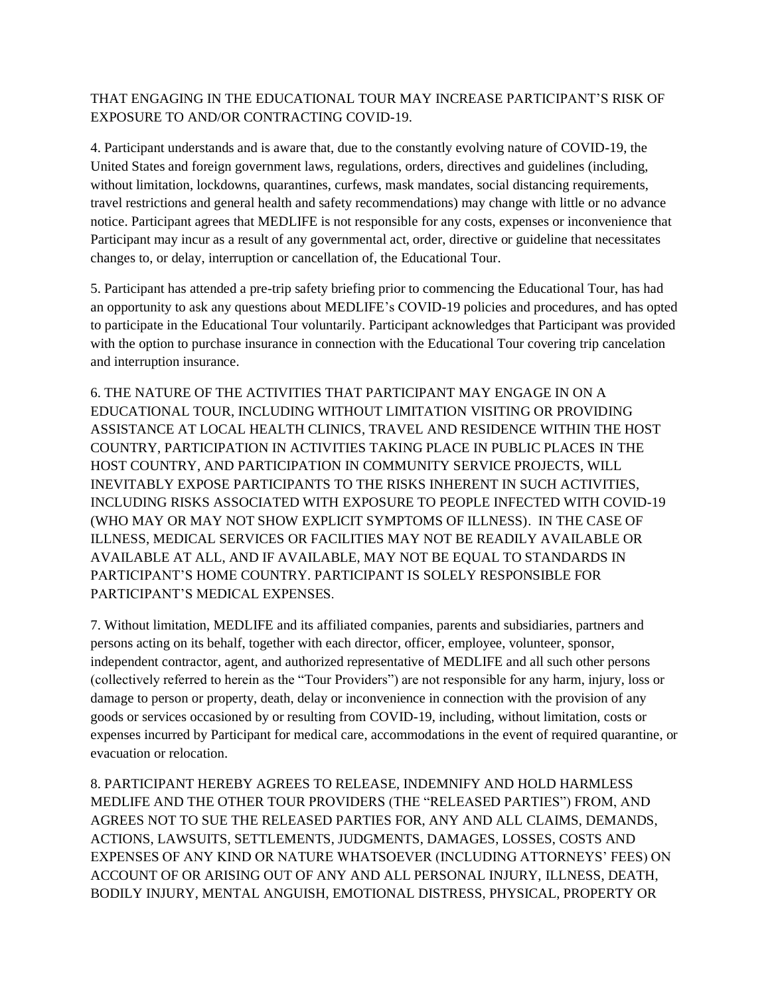# THAT ENGAGING IN THE EDUCATIONAL TOUR MAY INCREASE PARTICIPANT'S RISK OF EXPOSURE TO AND/OR CONTRACTING COVID-19.

4. Participant understands and is aware that, due to the constantly evolving nature of COVID-19, the United States and foreign government laws, regulations, orders, directives and guidelines (including, without limitation, lockdowns, quarantines, curfews, mask mandates, social distancing requirements, travel restrictions and general health and safety recommendations) may change with little or no advance notice. Participant agrees that MEDLIFE is not responsible for any costs, expenses or inconvenience that Participant may incur as a result of any governmental act, order, directive or guideline that necessitates changes to, or delay, interruption or cancellation of, the Educational Tour.

5. Participant has attended a pre-trip safety briefing prior to commencing the Educational Tour, has had an opportunity to ask any questions about MEDLIFE's COVID-19 policies and procedures, and has opted to participate in the Educational Tour voluntarily. Participant acknowledges that Participant was provided with the option to purchase insurance in connection with the Educational Tour covering trip cancelation and interruption insurance.

6. THE NATURE OF THE ACTIVITIES THAT PARTICIPANT MAY ENGAGE IN ON A EDUCATIONAL TOUR, INCLUDING WITHOUT LIMITATION VISITING OR PROVIDING ASSISTANCE AT LOCAL HEALTH CLINICS, TRAVEL AND RESIDENCE WITHIN THE HOST COUNTRY, PARTICIPATION IN ACTIVITIES TAKING PLACE IN PUBLIC PLACES IN THE HOST COUNTRY, AND PARTICIPATION IN COMMUNITY SERVICE PROJECTS, WILL INEVITABLY EXPOSE PARTICIPANTS TO THE RISKS INHERENT IN SUCH ACTIVITIES, INCLUDING RISKS ASSOCIATED WITH EXPOSURE TO PEOPLE INFECTED WITH COVID-19 (WHO MAY OR MAY NOT SHOW EXPLICIT SYMPTOMS OF ILLNESS). IN THE CASE OF ILLNESS, MEDICAL SERVICES OR FACILITIES MAY NOT BE READILY AVAILABLE OR AVAILABLE AT ALL, AND IF AVAILABLE, MAY NOT BE EQUAL TO STANDARDS IN PARTICIPANT'S HOME COUNTRY. PARTICIPANT IS SOLELY RESPONSIBLE FOR PARTICIPANT'S MEDICAL EXPENSES.

7. Without limitation, MEDLIFE and its affiliated companies, parents and subsidiaries, partners and persons acting on its behalf, together with each director, officer, employee, volunteer, sponsor, independent contractor, agent, and authorized representative of MEDLIFE and all such other persons (collectively referred to herein as the "Tour Providers") are not responsible for any harm, injury, loss or damage to person or property, death, delay or inconvenience in connection with the provision of any goods or services occasioned by or resulting from COVID-19, including, without limitation, costs or expenses incurred by Participant for medical care, accommodations in the event of required quarantine, or evacuation or relocation.

8. PARTICIPANT HEREBY AGREES TO RELEASE, INDEMNIFY AND HOLD HARMLESS MEDLIFE AND THE OTHER TOUR PROVIDERS (THE "RELEASED PARTIES") FROM, AND AGREES NOT TO SUE THE RELEASED PARTIES FOR, ANY AND ALL CLAIMS, DEMANDS, ACTIONS, LAWSUITS, SETTLEMENTS, JUDGMENTS, DAMAGES, LOSSES, COSTS AND EXPENSES OF ANY KIND OR NATURE WHATSOEVER (INCLUDING ATTORNEYS' FEES) ON ACCOUNT OF OR ARISING OUT OF ANY AND ALL PERSONAL INJURY, ILLNESS, DEATH, BODILY INJURY, MENTAL ANGUISH, EMOTIONAL DISTRESS, PHYSICAL, PROPERTY OR